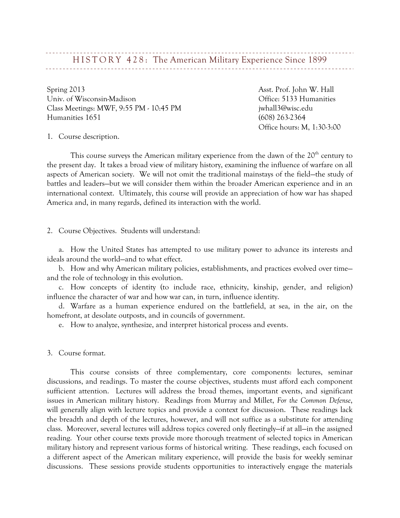# HISTORY 428: The American Military Experience Since 1899

Spring 2013 **Asst. Prof. John W. Hall** Univ. of Wisconsin-Madison Office: 5133 Humanities Class Meetings: MWF, 9:55 PM - 10:45 PM discriming the interval included in the interval of the set of the interval of the interval of the interval of the interval of the interval of the interval of the interval of the int Humanities 1651 (608) 263-2364

Office hours: M, 1:30-3:00

1. Course description.

This course surveys the American military experience from the dawn of the  $20<sup>th</sup>$  century to the present day. It takes a broad view of military history, examining the influence of warfare on all aspects of American society. We will not omit the traditional mainstays of the field—the study of battles and leaders—but we will consider them within the broader American experience and in an international context. Ultimately, this course will provide an appreciation of how war has shaped America and, in many regards, defined its interaction with the world.

2. Course Objectives. Students will understand:

a. How the United States has attempted to use military power to advance its interests and ideals around the world—and to what effect.

b. How and why American military policies, establishments, and practices evolved over time and the role of technology in this evolution.

c. How concepts of identity (to include race, ethnicity, kinship, gender, and religion) influence the character of war and how war can, in turn, influence identity.

d. Warfare as a human experience endured on the battlefield, at sea, in the air, on the homefront, at desolate outposts, and in councils of government.

e. How to analyze, synthesize, and interpret historical process and events.

3. Course format.

This course consists of three complementary, core components: lectures, seminar discussions, and readings. To master the course objectives, students must afford each component sufficient attention. Lectures will address the broad themes, important events, and significant issues in American military history. Readings from Murray and Millet, *For the Common Defense*, will generally align with lecture topics and provide a context for discussion. These readings lack the breadth and depth of the lectures, however, and will not suffice as a substitute for attending class. Moreover, several lectures will address topics covered only fleetingly—if at all—in the assigned reading. Your other course texts provide more thorough treatment of selected topics in American military history and represent various forms of historical writing. These readings, each focused on a different aspect of the American military experience, will provide the basis for weekly seminar discussions. These sessions provide students opportunities to interactively engage the materials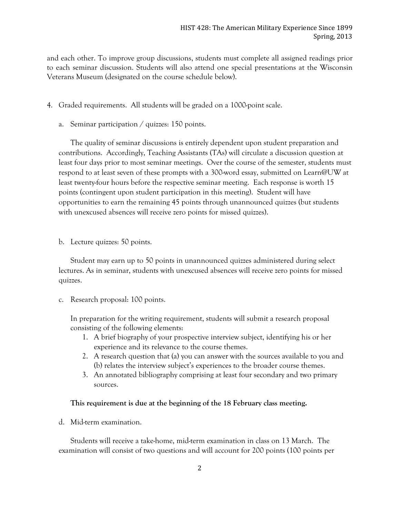and each other. To improve group discussions, students must complete all assigned readings prior to each seminar discussion. Students will also attend one special presentations at the Wisconsin Veterans Museum (designated on the course schedule below).

- 4. Graded requirements. All students will be graded on a 1000-point scale.
	- a. Seminar participation / quizzes: 150 points.

The quality of seminar discussions is entirely dependent upon student preparation and contributions. Accordingly, Teaching Assistants (TAs) will circulate a discussion question at least four days prior to most seminar meetings. Over the course of the semester, students must respond to at least seven of these prompts with a 300-word essay, submitted on Learn@UW at least twenty-four hours before the respective seminar meeting. Each response is worth 15 points (contingent upon student participation in this meeting). Student will have opportunities to earn the remaining 45 points through unannounced quizzes (but students with unexcused absences will receive zero points for missed quizzes).

b. Lecture quizzes: 50 points.

Student may earn up to 50 points in unannounced quizzes administered during select lectures. As in seminar, students with unexcused absences will receive zero points for missed quizzes.

c. Research proposal: 100 points.

In preparation for the writing requirement, students will submit a research proposal consisting of the following elements:

- 1. A brief biography of your prospective interview subject, identifying his or her experience and its relevance to the course themes.
- 2. A research question that (a) you can answer with the sources available to you and (b) relates the interview subject's experiences to the broader course themes.
- 3. An annotated bibliography comprising at least four secondary and two primary sources.

#### **This requirement is due at the beginning of the 18 February class meeting.**

d. Mid-term examination.

Students will receive a take-home, mid-term examination in class on 13 March. The examination will consist of two questions and will account for 200 points (100 points per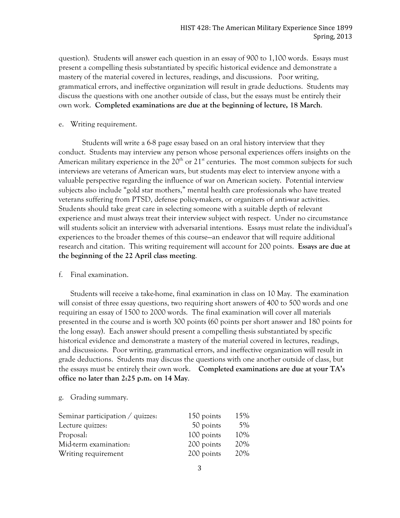question). Students will answer each question in an essay of 900 to 1,100 words. Essays must present a compelling thesis substantiated by specific historical evidence and demonstrate a mastery of the material covered in lectures, readings, and discussions. Poor writing, grammatical errors, and ineffective organization will result in grade deductions. Students may discuss the questions with one another outside of class, but the essays must be entirely their own work. **Completed examinations are due at the beginning of lecture, 18 March**.

#### e. Writing requirement.

Students will write a 6-8 page essay based on an oral history interview that they conduct. Students may interview any person whose personal experiences offers insights on the American military experience in the  $20<sup>th</sup>$  or  $21<sup>st</sup>$  centuries. The most common subjects for such interviews are veterans of American wars, but students may elect to interview anyone with a valuable perspective regarding the influence of war on American society. Potential interview subjects also include "gold star mothers," mental health care professionals who have treated veterans suffering from PTSD, defense policy-makers, or organizers of anti-war activities. Students should take great care in selecting someone with a suitable depth of relevant experience and must always treat their interview subject with respect. Under no circumstance will students solicit an interview with adversarial intentions. Essays must relate the individual's experiences to the broader themes of this course—an endeavor that will require additional research and citation. This writing requirement will account for 200 points. **Essays are due at the beginning of the 22 April class meeting**.

### f. Final examination.

Students will receive a take-home, final examination in class on 10 May. The examination will consist of three essay questions, two requiring short answers of 400 to 500 words and one requiring an essay of 1500 to 2000 words. The final examination will cover all materials presented in the course and is worth 300 points (60 points per short answer and 180 points for the long essay). Each answer should present a compelling thesis substantiated by specific historical evidence and demonstrate a mastery of the material covered in lectures, readings, and discussions. Poor writing, grammatical errors, and ineffective organization will result in grade deductions. Students may discuss the questions with one another outside of class, but the essays must be entirely their own work. **Completed examinations are due at your TA's office no later than 2:25 p.m. on 14 May**.

## g. Grading summary.

| Seminar participation $\overline{\phantom{a}}$ quizzes: | 150 points | 15% |
|---------------------------------------------------------|------------|-----|
| Lecture quizzes:                                        | 50 points  | 5%  |
| Proposal:                                               | 100 points | 10% |
| Mid-term examination:                                   | 200 points | 20% |
| Writing requirement                                     | 200 points | 20% |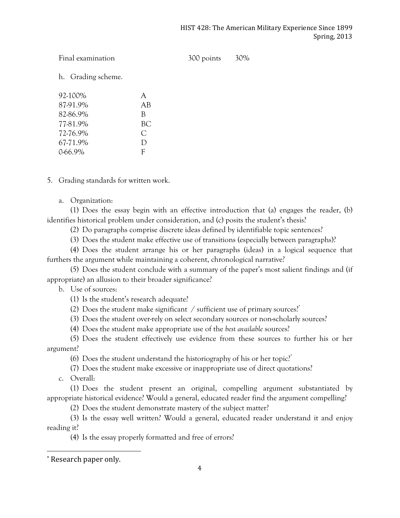Final examination 300 points 30%

h. Grading scheme.

| 92-100%  | A   |
|----------|-----|
| 87-91.9% | AB  |
| 82-86.9% | B   |
| 77-81.9% | BC. |
| 72-76.9% | C   |
| 67-71.9% | D   |
| 0-66.9%  | F   |

5. Grading standards for written work.

a. Organization:

(1) Does the essay begin with an effective introduction that (a) engages the reader, (b) identifies historical problem under consideration, and (c) posits the student's thesis?

(2) Do paragraphs comprise discrete ideas defined by identifiable topic sentences?

(3) Does the student make effective use of transitions (especially between paragraphs)?

(4) Does the student arrange his or her paragraphs (ideas) in a logical sequence that furthers the argument while maintaining a coherent, chronological narrative?

(5) Does the student conclude with a summary of the paper's most salient findings and (if appropriate) an allusion to their broader significance?

b. Use of sources:

(1) Is the student's research adequate?

(2) Does the student make significant  $\frac{1}{2}$  sufficient use of primary sources?<sup>\*</sup>

(3) Does the student over-rely on select secondary sources or non-scholarly sources?

(4) Does the student make appropriate use of the *best available* sources?

(5) Does the student effectively use evidence from these sources to further his or her argument?

(6) Does the student understand the historiography of his or her topic.<sup> $\dot{r}$ </sup>

(7) Does the student make excessive or inappropriate use of direct quotations?

c. Overall:

(1) Does the student present an original, compelling argument substantiated by appropriate historical evidence? Would a general, educated reader find the argument compelling?

(2) Does the student demonstrate mastery of the subject matter?

(3) Is the essay well written? Would a general, educated reader understand it and enjoy reading it?

(4) Is the essay properly formatted and free of errors?

 

<sup>\*</sup> Research paper only.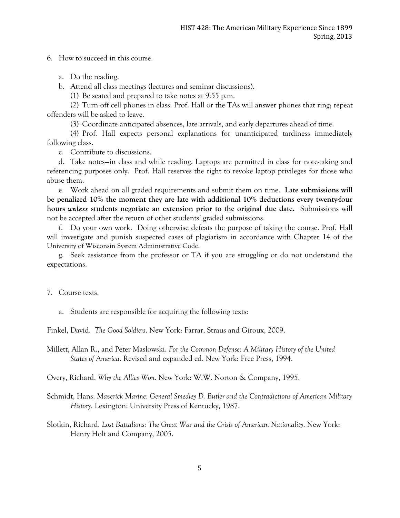6. How to succeed in this course.

- a. Do the reading.
- b. Attend all class meetings (lectures and seminar discussions).

(1) Be seated and prepared to take notes at 9:55 p.m.

(2) Turn off cell phones in class. Prof. Hall or the TAs will answer phones that ring; repeat offenders will be asked to leave.

(3) Coordinate anticipated absences, late arrivals, and early departures ahead of time.

(4) Prof. Hall expects personal explanations for unanticipated tardiness immediately following class.

c. Contribute to discussions.

d. Take notes—in class and while reading. Laptops are permitted in class for note-taking and referencing purposes only. Prof. Hall reserves the right to revoke laptop privileges for those who abuse them.

e. Work ahead on all graded requirements and submit them on time. **Late submissions will be penalized 10% the moment they are late with additional 10% deductions every twenty-four hours** *unless* **students negotiate an extension prior to the original due date.** Submissions will not be accepted after the return of other students' graded submissions.

f. Do your own work. Doing otherwise defeats the purpose of taking the course. Prof. Hall will investigate and punish suspected cases of plagiarism in accordance with Chapter 14 of the University of Wisconsin System Administrative Code.

g. Seek assistance from the professor or TA if you are struggling or do not understand the expectations.

- 7. Course texts.
	- a. Students are responsible for acquiring the following texts:

Finkel, David. *The Good Soldiers*. New York: Farrar, Straus and Giroux, 2009.

Millett, Allan R., and Peter Maslowski. *For the Common Defense: A Military History of the United States of America*. Revised and expanded ed. New York: Free Press, 1994.

Overy, Richard. *Why the Allies Won*. New York: W.W. Norton & Company, 1995.

- Schmidt, Hans. *Maverick Marine: General Smedley D. Butler and the Contradictions of American Military History*. Lexington: University Press of Kentucky, 1987.
- Slotkin, Richard. *Lost Battalions: The Great War and the Crisis of American Nationality*. New York: Henry Holt and Company, 2005.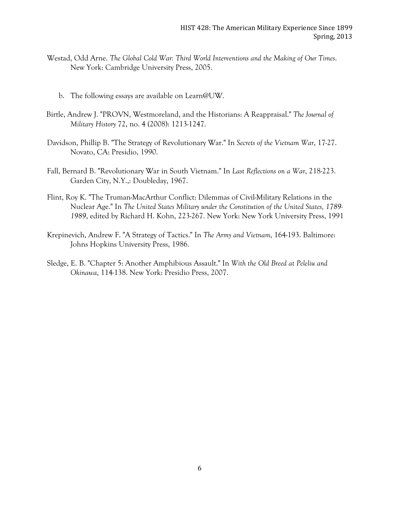- Westad, Odd Arne. *The Global Cold War: Third World Interventions and the Making of Our Times*. New York: Cambridge University Press, 2005.
	- b. The following essays are available on Learn@UW.
- Birtle, Andrew J. "PROVN, Westmoreland, and the Historians: A Reappraisal." *The Journal of Military History* 72, no. 4 (2008): 1213-1247.
- Davidson, Phillip B. "The Strategy of Revolutionary War." In *Secrets of the Vietnam War*, 17-27. Novato, CA: Presidio, 1990.
- Fall, Bernard B. "Revolutionary War in South Vietnam." In *Last Reflections on a War*, 218-223. Garden City, N.Y.,: Doubleday, 1967.
- Flint, Roy K. "The Truman-MacArthur Conflict: Dilemmas of Civil-Military Relations in the Nuclear Age." In *The United States Military under the Constitution of the United States, 1789- 1989*, edited by Richard H. Kohn, 223-267. New York: New York University Press, 1991
- Krepinevich, Andrew F. "A Strategy of Tactics." In *The Army and Vietnam*, 164-193. Baltimore: Johns Hopkins University Press, 1986.
- Sledge, E. B. "Chapter 5: Another Amphibious Assault." In *With the Old Breed at Peleliu and Okinawa*, 114-138. New York: Presidio Press, 2007.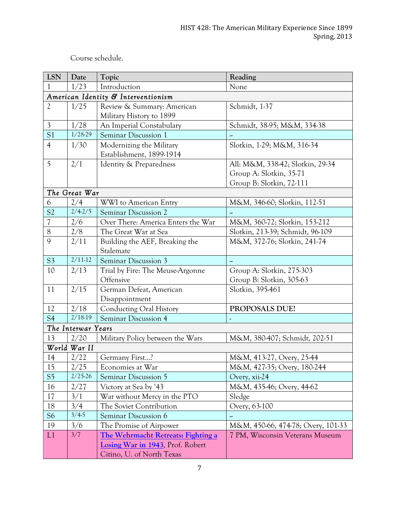Course schedule.

| <b>LSN</b>               | Date               | Topic                                                                                                      | Reading                                                                                 |
|--------------------------|--------------------|------------------------------------------------------------------------------------------------------------|-----------------------------------------------------------------------------------------|
|                          | 1/23               | Introduction                                                                                               | None                                                                                    |
|                          |                    | American Identity & Interventionism                                                                        |                                                                                         |
| $\overline{2}$           | 1/25               | Review & Summary: American<br>Military History to 1899                                                     | Schmidt, 1-37                                                                           |
| $\mathfrak{Z}$           | 1/28               | An Imperial Constabulary                                                                                   | Schmidt, 38-95; M&M, 334-38                                                             |
| S <sub>1</sub>           | 1/28-29            | Seminar Discussion 1                                                                                       |                                                                                         |
| $\overline{4}$           | 1/30               | Modernizing the Military<br>Establishment, 1899-1914                                                       | Slotkin, 1-29; M&M, 316-34                                                              |
| 5                        | 2/1                | Identity & Preparedness                                                                                    | All: M&M, 338-42; Slotkin, 29-34<br>Group A: Slotkin, 35-71<br>Group B: Slotkin, 72-111 |
|                          | The Great War      |                                                                                                            |                                                                                         |
| 6                        | 2/4                | WWI to American Entry                                                                                      | M&M, 346-60; Slotkin, 112-51                                                            |
| S <sub>2</sub>           | $2/4 - 2/5$        | Seminar Discussion 2                                                                                       | $\overline{\phantom{a}}$                                                                |
| $\overline{\mathcal{U}}$ | 2/6                | Over There: America Enters the War                                                                         | M&M, 360-72; Slotkin, 153-212                                                           |
| 8                        | 2/8                | The Great War at Sea                                                                                       | Slotkin, 213-39; Schmidt, 96-109                                                        |
| 9                        | 2/11               | Building the AEF, Breaking the<br>Stalemate                                                                | M&M, 372-76; Slotkin, 241-74                                                            |
| S <sub>3</sub>           | $2/11-12$          | Seminar Discussion 3                                                                                       | 4                                                                                       |
| 10                       | 2/13               | Trial by Fire: The Meuse-Argonne<br>Offensive                                                              | Group A: Slotkin, 275-303<br>Group B: Slotkin, 305-63                                   |
| 11                       | 2/15               | German Defeat, American<br>Disappointment                                                                  | Slotkin, 395-461                                                                        |
| 12                       | 2/18               | <b>Conducting Oral History</b>                                                                             | PROPOSALS DUE!                                                                          |
| S <sub>4</sub>           | $2/18-19$          | Seminar Discussion 4                                                                                       | ×                                                                                       |
|                          | The Interwar Years |                                                                                                            |                                                                                         |
| 13                       | 2/20               | Military Policy between the Wars                                                                           | M&M, 380-407; Schmidt, 202-51                                                           |
|                          | World War II       |                                                                                                            |                                                                                         |
| 14                       | 2/22               | Germany First?                                                                                             | M&M, 413-27, Overy, 25-44                                                               |
| 15                       | 2/25               | Economies at War                                                                                           | M&M, 427-35; Overy, 180-244                                                             |
| S <sub>5</sub>           | $2/25 - 26$        | Seminar Discussion 5                                                                                       | Overy, xii-24                                                                           |
| 16                       | 2/27               | Victory at Sea by '43                                                                                      | M&M, 435-46; Overy, 44-62                                                               |
| 17                       | 3/1                | War without Mercy in the PTO                                                                               | Sledge                                                                                  |
| 18                       | 3/4                | The Soviet Contribution                                                                                    | Overy, 63-100                                                                           |
| S <sub>6</sub>           | $3/4-5$            | Seminar Discussion 6                                                                                       |                                                                                         |
| 19                       | 3/6                | The Promise of Airpower                                                                                    | M&M, 450-66, 474-78; Overy, 101-33                                                      |
| L1                       | 3/7                | The Wehrmacht Retreats: Fighting a<br><b>Losing War in 1943, Prof. Robert</b><br>Citino, U. of North Texas | 7 PM, Wisconsin Veterans Museum                                                         |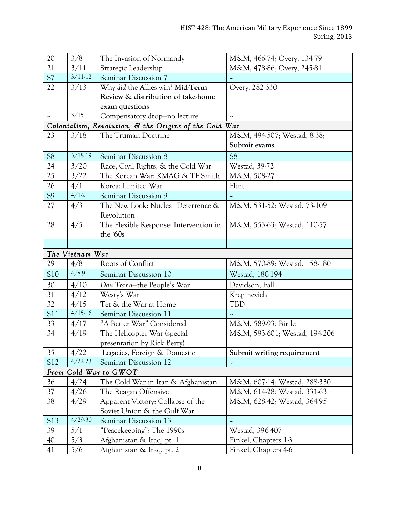| 20              | 3/8             | The Invasion of Normandy                               | M&M, 466-74; Overy, 134-79    |
|-----------------|-----------------|--------------------------------------------------------|-------------------------------|
| 21              | 3/11            | Strategic Leadership                                   | M&M, 478-86; Overy, 245-81    |
| S7              | $3/11-12$       | Seminar Discussion 7                                   | ×,                            |
| 22              | 3/13            | Why did the Allies win? Mid-Term                       | Overy, 282-330                |
|                 |                 | Review & distribution of take-home                     |                               |
|                 |                 | exam questions                                         |                               |
| ∼               | 3/15            | Compensatory drop-no lecture                           | --                            |
|                 |                 | Colonialism, Revolution, & the Origins of the Cold War |                               |
| 23              | 3/18            | The Truman Doctrine                                    | M&M, 494-507; Westad, 8-38;   |
|                 |                 |                                                        | Submit exams                  |
| S <sub>8</sub>  | $3/18-19$       | Seminar Discussion 8                                   | <b>S8</b>                     |
| 24              | 3/20            | Race, Civil Rights, & the Cold War                     | <b>Westad, 39-72</b>          |
| 25              | 3/22            | The Korean War: KMAG & TF Smith                        | M&M, 508-27                   |
| 26              | 4/1             | Korea: Limited War                                     | Flint                         |
| S <sub>9</sub>  | $4/1-2$         | Seminar Discussion 9                                   |                               |
| 27              | 4/3             | The New Look: Nuclear Deterrence &                     | M&M, 531-52; Westad, 73-109   |
|                 |                 | Revolution                                             |                               |
| 28              | 4/5             | The Flexible Response: Intervention in                 | M&M, 553-63; Westad, 110-57   |
|                 |                 | the '60s                                               |                               |
|                 |                 |                                                        |                               |
|                 | The Vietnam War |                                                        |                               |
| 29              | 4/8             | Roots of Conflict                                      | M&M, 570-89; Westad, 158-180  |
| S <sub>10</sub> | 4/8.9           | Seminar Discussion 10                                  | Westad, 180-194               |
| 30              | 4/10            | Dau Tranh-the People's War                             | Davidson; Fall                |
| 31              | 4/12            | Westy's War                                            | Krepinevich                   |
| 32              | 4/15            | Tet & the War at Home                                  | <b>TBD</b>                    |
| S11             | $4/15-16$       | Seminar Discussion 11                                  |                               |
| 33              | 4/17            | "A Better War" Considered                              | M&M, 589-93; Birtle           |
| 34              | 4/19            | The Helicopter War (special                            | M&M, 593-601; Westad, 194-206 |
|                 |                 | presentation by Rick Berry)                            |                               |
| 35              | 4/22            | Legacies, Foreign & Domestic                           | Submit writing requirement    |
| S12             | $4/22-23$       | Seminar Discussion 12                                  | ÷                             |
|                 |                 | From Cold War to GWOT                                  |                               |
| 36              | 4/24            | The Cold War in Iran & Afghanistan                     | M&M, 607-14; Westad, 288-330  |
| 37              | 4/26            | The Reagan Offensive                                   | M&M, 614-28; Westad, 331-63   |
| 38              | 4/29            | Apparent Victory: Collapse of the                      | M&M, 628-42; Westad, 364-95   |
|                 |                 | Soviet Union & the Gulf War                            |                               |
| S13             | $4/29-30$       | Seminar Discussion 13                                  | ×,                            |
| 39              | 5/1             | "Peacekeeping": The 1990s                              | Westad, 396-407               |
| 40              | 5/3             | Afghanistan & Iraq, pt. 1                              | Finkel, Chapters 1-3          |
| 41              | 5/6             | Afghanistan & Iraq, pt. 2                              | Finkel, Chapters 4-6          |